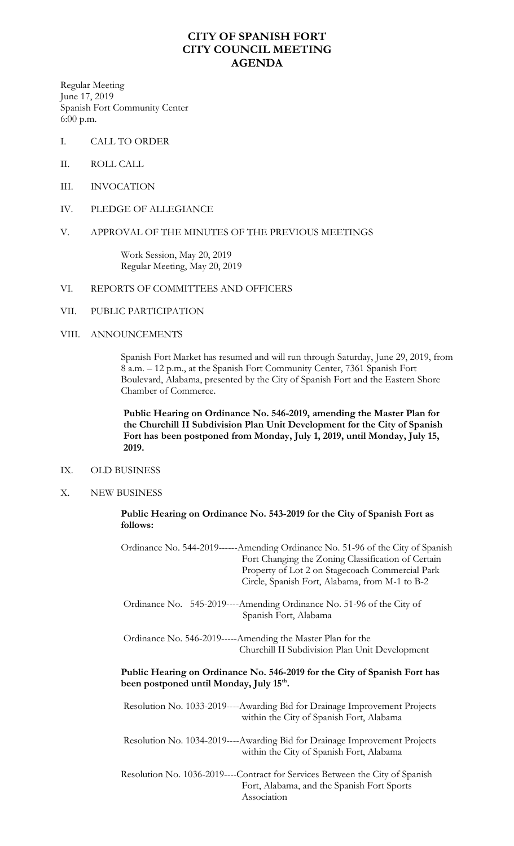## **CITY OF SPANISH FORT CITY COUNCIL MEETING AGENDA**

Regular Meeting June 17, 2019 Spanish Fort Community Center 6:00 p.m.

- I. CALL TO ORDER
- II. ROLL CALL
- III. INVOCATION
- IV. PLEDGE OF ALLEGIANCE
- V. APPROVAL OF THE MINUTES OF THE PREVIOUS MEETINGS

Work Session, May 20, 2019 Regular Meeting, May 20, 2019

- VI. REPORTS OF COMMITTEES AND OFFICERS
- VII. PUBLIC PARTICIPATION

#### VIII. ANNOUNCEMENTS

Spanish Fort Market has resumed and will run through Saturday, June 29, 2019, from 8 a.m. – 12 p.m., at the Spanish Fort Community Center, 7361 Spanish Fort Boulevard, Alabama, presented by the City of Spanish Fort and the Eastern Shore Chamber of Commerce.

 **Public Hearing on Ordinance No. 546-2019, amending the Master Plan for the Churchill II Subdivision Plan Unit Development for the City of Spanish Fort has been postponed from Monday, July 1, 2019, until Monday, July 15, 2019.** 

#### IX. OLD BUSINESS

X. NEW BUSINESS

**Public Hearing on Ordinance No. 543-2019 for the City of Spanish Fort as follows:**

Ordinance No. 544-2019------Amending Ordinance No. 51-96 of the City of Spanish Fort Changing the Zoning Classification of Certain Property of Lot 2 on Stagecoach Commercial Park Circle, Spanish Fort, Alabama, from M-1 to B-2

 Ordinance No. 545-2019----Amending Ordinance No. 51-96 of the City of Spanish Fort, Alabama

 Ordinance No. 546-2019-----Amending the Master Plan for the Churchill II Subdivision Plan Unit Development

### **Public Hearing on Ordinance No. 546-2019 for the City of Spanish Fort has been postponed until Monday, July 15th .**

Resolution No. 1033-2019----Awarding Bid for Drainage Improvement Projects within the City of Spanish Fort, Alabama

Resolution No. 1034-2019----Awarding Bid for Drainage Improvement Projects within the City of Spanish Fort, Alabama

Resolution No. 1036-2019----Contract for Services Between the City of Spanish Fort, Alabama, and the Spanish Fort Sports Association